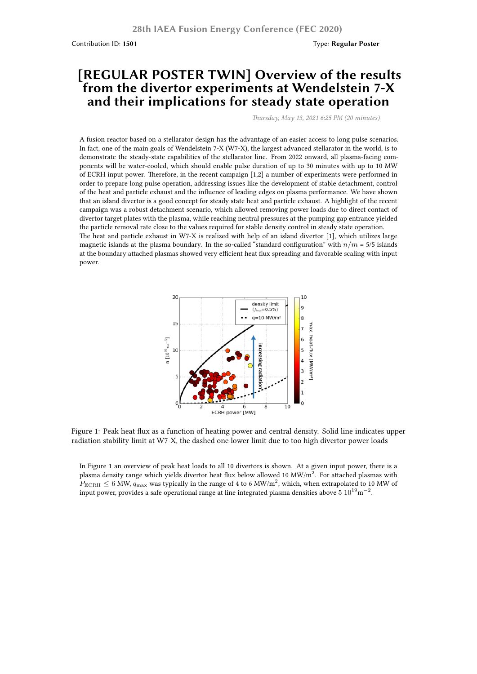Contribution ID: **1501** Type: **Regular Poster**

## **[REGULAR POSTER TWIN] Overview of the results from the divertor experiments at Wendelstein 7-X and their implications for steady state operation**

*Thursday, May 13, 2021 6:25 PM (20 minutes)*

A fusion reactor based on a stellarator design has the advantage of an easier access to long pulse scenarios. In fact, one of the main goals of Wendelstein 7-X (W7-X), the largest advanced stellarator in the world, is to demonstrate the steady-state capabilities of the stellarator line. From 2022 onward, all plasma-facing components will be water-cooled, which should enable pulse duration of up to 30 minutes with up to 10 MW of ECRH input power. Therefore, in the recent campaign [1,2] a number of experiments were performed in order to prepare long pulse operation, addressing issues like the development of stable detachment, control of the heat and particle exhaust and the influence of leading edges on plasma performance. We have shown that an island divertor is a good concept for steady state heat and particle exhaust. A highlight of the recent campaign was a robust detachment scenario, which allowed removing power loads due to direct contact of divertor target plates with the plasma, while reaching neutral pressures at the pumping gap entrance yielded the particle removal rate close to the values required for stable density control in steady state operation. The heat and particle exhaust in W7-X is realized with help of an island divertor [1], which utilizes large magnetic islands at the plasma boundary. In the so-called "standard configuration" with  $n/m = 5/5$  islands at the boundary attached plasmas showed very efficient heat flux spreading and favorable scaling with input power.



Figure 1: Peak heat flux as a function of heating power and central density. Solid line indicates upper radiation stability limit at W7-X, the dashed one lower limit due to too high divertor power loads

In Figure 1 an overview of peak heat loads to all 10 divertors is shown. At a given input power, there is a plasma density range which yields divertor heat flux below allowed 10 MW/m<sup>2</sup>. For attached plasmas with  $P_{\text{ECRH}} \leq 6$  MW,  $q_{\text{max}}$  was typically in the range of 4 to 6 MW/m<sup>2</sup>, which, when extrapolated to 10 MW of input power, provides a safe operational range at line integrated plasma densities above 5 10<sup>19</sup>m *−*2 .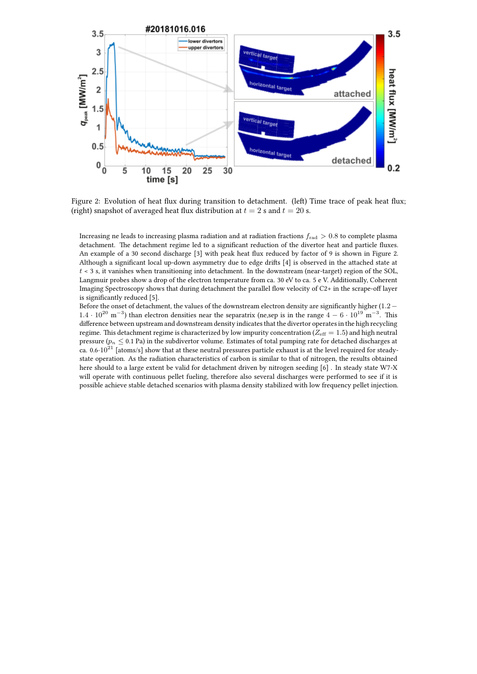

Figure 2: Evolution of heat flux during transition to detachment. (left) Time trace of peak heat flux; (right) snapshot of averaged heat flux distribution at  $t = 2$  s and  $t = 20$  s.

Increasing ne leads to increasing plasma radiation and at radiation fractions *f*rad *>* 0*.*8 to complete plasma detachment. The detachment regime led to a significant reduction of the divertor heat and particle fluxes. An example of a 30 second discharge [3] with peak heat flux reduced by factor of 9 is shown in Figure 2. Although a significant local up-down asymmetry due to edge drifts [4] is observed in the attached state at  $t < 3$  s, it vanishes when transitioning into detachment. In the downstream (near-target) region of the SOL, Langmuir probes show a drop of the electron temperature from ca. 30 eV to ca. 5 e V. Additionally, Coherent Imaging Spectroscopy shows that during detachment the parallel flow velocity of C2+ in the scrape-off layer is significantly reduced [5].

Before the onset of detachment, the values of the downstream electron density are significantly higher (1*.*2*−* 1.4 · 10<sup>20</sup> m<sup>−3</sup>) than electron densities near the separatrix (ne,sep is in the range 4 − 6 · 10<sup>19</sup> m<sup>−3</sup>. This difference between upstream and downstream density indicates that the divertor operates in the high recycling regime. This detachment regime is characterized by low impurity concentration ( $Z_{\text{eff}} = 1.5$ ) and high neutral pressure ( $p_n \leq 0.1$  Pa) in the subdivertor volume. Estimates of total pumping rate for detached discharges at ca. 0.6*·*10<sup>21</sup> [atoms/s] show that at these neutral pressures particle exhaust is at the level required for steadystate operation. As the radiation characteristics of carbon is similar to that of nitrogen, the results obtained here should to a large extent be valid for detachment driven by nitrogen seeding [6] . In steady state W7-X will operate with continuous pellet fueling, therefore also several discharges were performed to see if it is possible achieve stable detached scenarios with plasma density stabilized with low frequency pellet injection.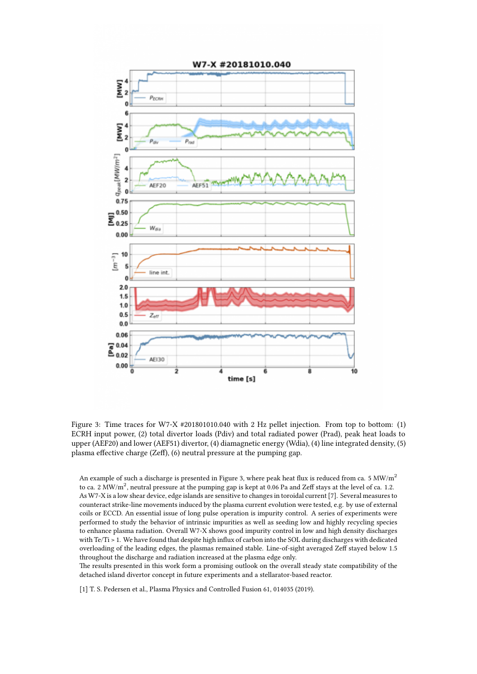

Figure 3: Time traces for W7-X #201801010.040 with 2 Hz pellet injection. From top to bottom: (1) ECRH input power, (2) total divertor loads (Pdiv) and total radiated power (Prad), peak heat loads to upper (AEF20) and lower (AEF51) divertor, (4) diamagnetic energy (Wdia), (4) line integrated density, (5) plasma effective charge (Zeff), (6) neutral pressure at the pumping gap.

An example of such a discharge is presented in Figure 3, where peak heat flux is reduced from ca. 5  $MW/m<sup>2</sup>$ to ca. 2 MW/m<sup>2</sup>, neutral pressure at the pumping gap is kept at 0.06 Pa and Zeff stays at the level of ca. 1.2. As W7-X is a low shear device, edge islands are sensitive to changes in toroidal current [7]. Several measures to counteract strike-line movements induced by the plasma current evolution were tested, e.g. by use of external coils or ECCD. An essential issue of long pulse operation is impurity control. A series of experiments were performed to study the behavior of intrinsic impurities as well as seeding low and highly recycling species to enhance plasma radiation. Overall W7-X shows good impurity control in low and high density discharges with Te/Ti > 1. We have found that despite high influx of carbon into the SOL during discharges with dedicated overloading of the leading edges, the plasmas remained stable. Line-of-sight averaged Zeff stayed below 1.5 throughout the discharge and radiation increased at the plasma edge only.

The results presented in this work form a promising outlook on the overall steady state compatibility of the detached island divertor concept in future experiments and a stellarator-based reactor.

[1] T. S. Pedersen et al., Plasma Physics and Controlled Fusion 61, 014035 (2019).